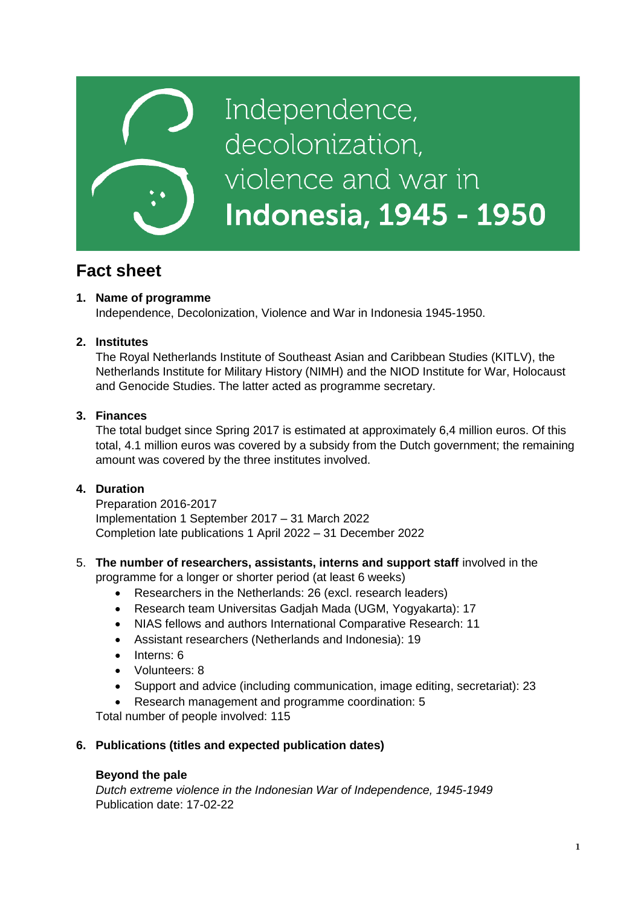

# **Fact sheet**

# **1. Name of programme**

Independence, Decolonization, Violence and War in Indonesia 1945-1950.

## **2. Institutes**

The Royal Netherlands Institute of Southeast Asian and Caribbean Studies (KITLV), the Netherlands Institute for Military History (NIMH) and the NIOD Institute for War, Holocaust and Genocide Studies. The latter acted as programme secretary.

## **3. Finances**

The total budget since Spring 2017 is estimated at approximately 6,4 million euros. Of this total, 4.1 million euros was covered by a subsidy from the Dutch government; the remaining amount was covered by the three institutes involved.

# **4. Duration**

Preparation 2016-2017 Implementation 1 September 2017 – 31 March 2022 Completion late publications 1 April 2022 – 31 December 2022

## 5. **The number of researchers, assistants, interns and support staff** involved in the programme for a longer or shorter period (at least 6 weeks)

- Researchers in the Netherlands: 26 (excl. research leaders)
- Research team Universitas Gadjah Mada (UGM, Yogyakarta): 17
- NIAS fellows and authors International Comparative Research: 11
- Assistant researchers (Netherlands and Indonesia): 19
- $\bullet$  Interns: 6
- Volunteers: 8
- Support and advice (including communication, image editing, secretariat): 23
- Research management and programme coordination: 5

Total number of people involved: 115

## **6. Publications (titles and expected publication dates)**

### **Beyond the pale**

*Dutch extreme violence in the Indonesian War of Independence, 1945-1949* Publication date: 17-02-22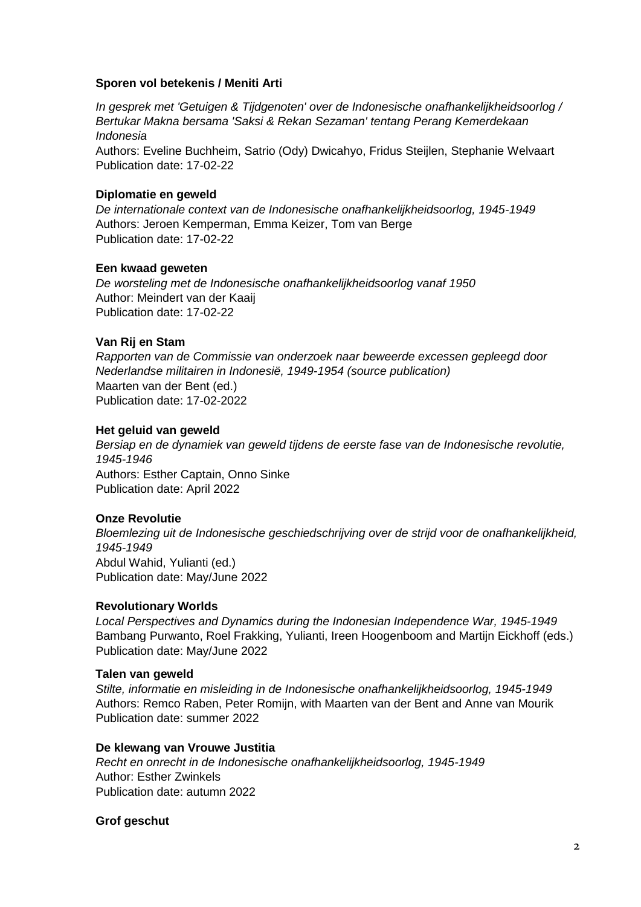## **Sporen vol betekenis / Meniti Arti**

*In gesprek met 'Getuigen & Tijdgenoten' over de Indonesische onafhankelijkheidsoorlog / Bertukar Makna bersama 'Saksi & Rekan Sezaman' tentang Perang Kemerdekaan Indonesia*

Authors: Eveline Buchheim, Satrio (Ody) Dwicahyo, Fridus Steijlen, Stephanie Welvaart Publication date: 17-02-22

## **Diplomatie en geweld**

*De internationale context van de Indonesische onafhankelijkheidsoorlog, 1945-1949* Authors: Jeroen Kemperman, Emma Keizer, Tom van Berge Publication date: 17-02-22

## **Een kwaad geweten**

*De worsteling met de Indonesische onafhankelijkheidsoorlog vanaf 1950* Author: Meindert van der Kaaij Publication date: 17-02-22

## **Van Rij en Stam**

*Rapporten van de Commissie van onderzoek naar beweerde excessen gepleegd door Nederlandse militairen in Indonesië, 1949-1954 (source publication)* Maarten van der Bent (ed.) Publication date: 17-02-2022

## **Het geluid van geweld**

*Bersiap en de dynamiek van geweld tijdens de eerste fase van de Indonesische revolutie, 1945-1946* Authors: Esther Captain, Onno Sinke Publication date: April 2022

## **Onze Revolutie**

*Bloemlezing uit de Indonesische geschiedschrijving over de strijd voor de onafhankelijkheid, 1945-1949* Abdul Wahid, Yulianti (ed.) Publication date: May/June 2022

### **Revolutionary Worlds**

*Local Perspectives and Dynamics during the Indonesian Independence War, 1945-1949* Bambang Purwanto, Roel Frakking, Yulianti, Ireen Hoogenboom and Martijn Eickhoff (eds.) Publication date: May/June 2022

### **Talen van geweld**

*Stilte, informatie en misleiding in de Indonesische onafhankelijkheidsoorlog, 1945-1949* Authors: Remco Raben, Peter Romijn, with Maarten van der Bent and Anne van Mourik Publication date: summer 2022

### **De klewang van Vrouwe Justitia**

*Recht en onrecht in de Indonesische onafhankelijkheidsoorlog, 1945-1949* Author: Esther Zwinkels Publication date: autumn 2022

### **Grof geschut**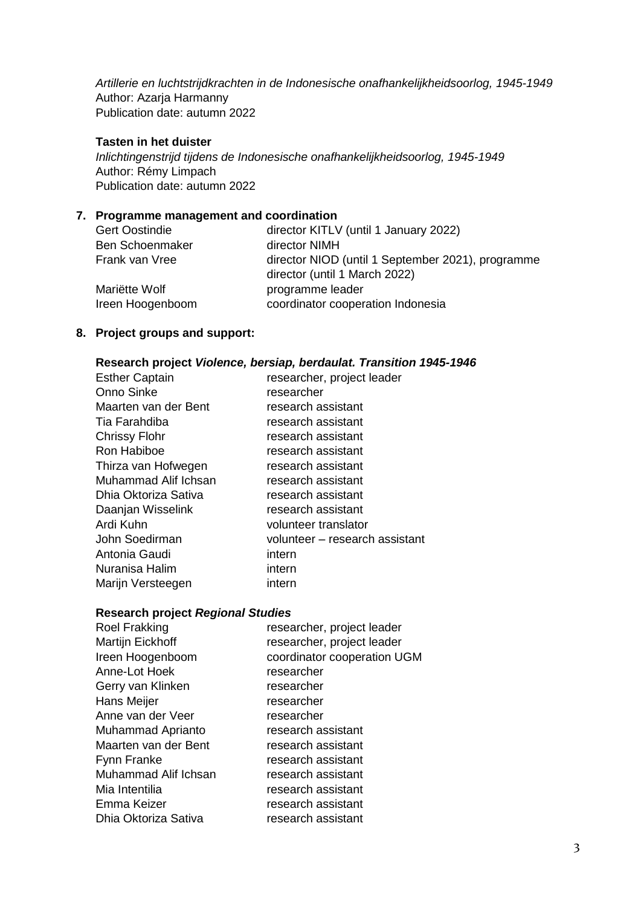*Artillerie en luchtstrijdkrachten in de Indonesische onafhankelijkheidsoorlog, 1945-1949* Author: Azarja Harmanny Publication date: autumn 2022

### **Tasten in het duister**

*Inlichtingenstrijd tijdens de Indonesische onafhankelijkheidsoorlog, 1945-1949* Author: Rémy Limpach Publication date: autumn 2022

#### **7. Programme management and coordination**

| <b>Gert Oostindie</b>  | director KITLV (until 1 January 2022)                                              |
|------------------------|------------------------------------------------------------------------------------|
| <b>Ben Schoenmaker</b> | director NIMH                                                                      |
| Frank van Vree         | director NIOD (until 1 September 2021), programme<br>director (until 1 March 2022) |
| Mariëtte Wolf          | programme leader                                                                   |
| Ireen Hoogenboom       | coordinator cooperation Indonesia                                                  |

#### **8. Project groups and support:**

#### **Research project** *Violence, bersiap, berdaulat. Transition 1945-1946*

| <b>Esther Captain</b> | researcher, project leader     |
|-----------------------|--------------------------------|
| Onno Sinke            | researcher                     |
| Maarten van der Bent  | research assistant             |
| Tia Farahdiba         | research assistant             |
| <b>Chrissy Flohr</b>  | research assistant             |
| Ron Habiboe           | research assistant             |
| Thirza van Hofwegen   | research assistant             |
| Muhammad Alif Ichsan  | research assistant             |
| Dhia Oktoriza Sativa  | research assistant             |
| Daanjan Wisselink     | research assistant             |
| Ardi Kuhn             | volunteer translator           |
| John Soedirman        | volunteer - research assistant |
| Antonia Gaudi         | intern                         |
| Nuranisa Halim        | intern                         |
| Marijn Versteegen     | intern                         |

#### **Research project** *Regional Studies*

| <b>Roel Frakking</b> | researcher, project leader  |
|----------------------|-----------------------------|
| Martijn Eickhoff     | researcher, project leader  |
| Ireen Hoogenboom     | coordinator cooperation UGM |
| Anne-Lot Hoek        | researcher                  |
| Gerry van Klinken    | researcher                  |
| Hans Meijer          | researcher                  |
| Anne van der Veer    | researcher                  |
| Muhammad Aprianto    | research assistant          |
| Maarten van der Bent | research assistant          |
| Fynn Franke          | research assistant          |
| Muhammad Alif Ichsan | research assistant          |
| Mia Intentilia       | research assistant          |
| Emma Keizer          | research assistant          |
| Dhia Oktoriza Sativa | research assistant          |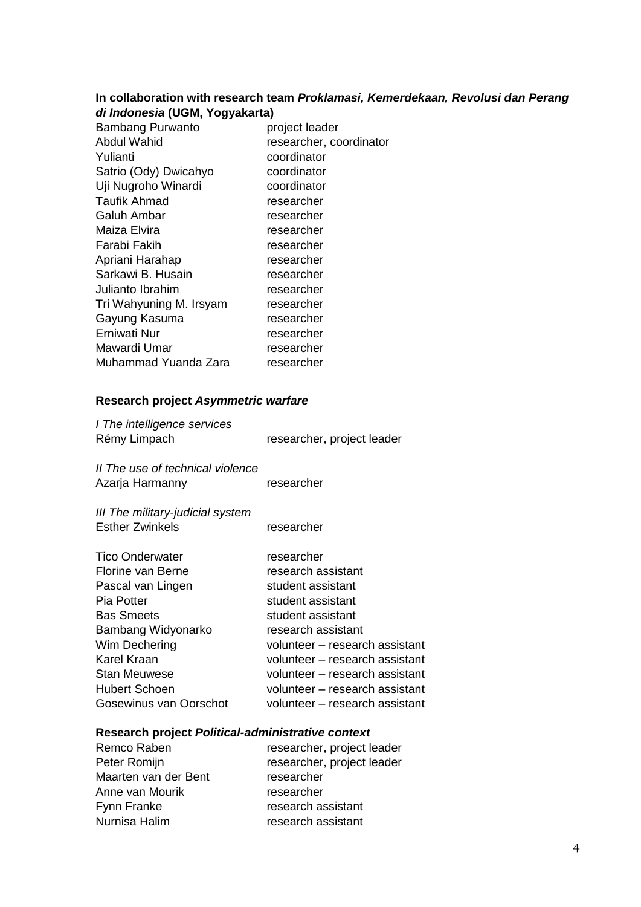#### **In collaboration with research team** *Proklamasi, Kemerdekaan, Revolusi dan Perang di Indonesia* **(UGM, Yogyakarta)**

| <b>Bambang Purwanto</b> | project leader          |
|-------------------------|-------------------------|
| Abdul Wahid             | researcher, coordinator |
| Yulianti                | coordinator             |
| Satrio (Ody) Dwicahyo   | coordinator             |
| Uji Nugroho Winardi     | coordinator             |
| Taufik Ahmad            | researcher              |
| Galuh Ambar             | researcher              |
| Maiza Elvira            | researcher              |
| Farabi Fakih            | researcher              |
| Apriani Harahap         | researcher              |
| Sarkawi B. Husain       | researcher              |
| Julianto Ibrahim        | researcher              |
| Tri Wahyuning M. Irsyam | researcher              |
| Gayung Kasuma           | researcher              |
| Erniwati Nur            | researcher              |
| Mawardi Umar            | researcher              |
| Muhammad Yuanda Zara    | researcher              |
|                         |                         |

# **Research project** *Asymmetric warfare*

| I The intelligence services |                            |
|-----------------------------|----------------------------|
| Rémy Limpach                | researcher, project leader |
|                             |                            |

*II The use of technical violence* Azarja Harmanny researcher

*III The military-judicial system* Esther Zwinkels researcher

| <b>Tico Onderwater</b> | researcher                     |
|------------------------|--------------------------------|
| Florine van Berne      | research assistant             |
| Pascal van Lingen      | student assistant              |
| Pia Potter             | student assistant              |
| <b>Bas Smeets</b>      | student assistant              |
| Bambang Widyonarko     | research assistant             |
| Wim Dechering          | volunteer - research assistant |
| Karel Kraan            | volunteer - research assistant |
| <b>Stan Meuwese</b>    | volunteer - research assistant |
| <b>Hubert Schoen</b>   | volunteer - research assistant |
| Gosewinus van Oorschot | volunteer - research assistant |

#### **Research project** *Political-administrative context*

| Remco Raben          | researcher, project leader |
|----------------------|----------------------------|
| Peter Romijn         | researcher, project leader |
| Maarten van der Bent | researcher                 |
| Anne van Mourik      | researcher                 |
| Fynn Franke          | research assistant         |
| Nurnisa Halim        | research assistant         |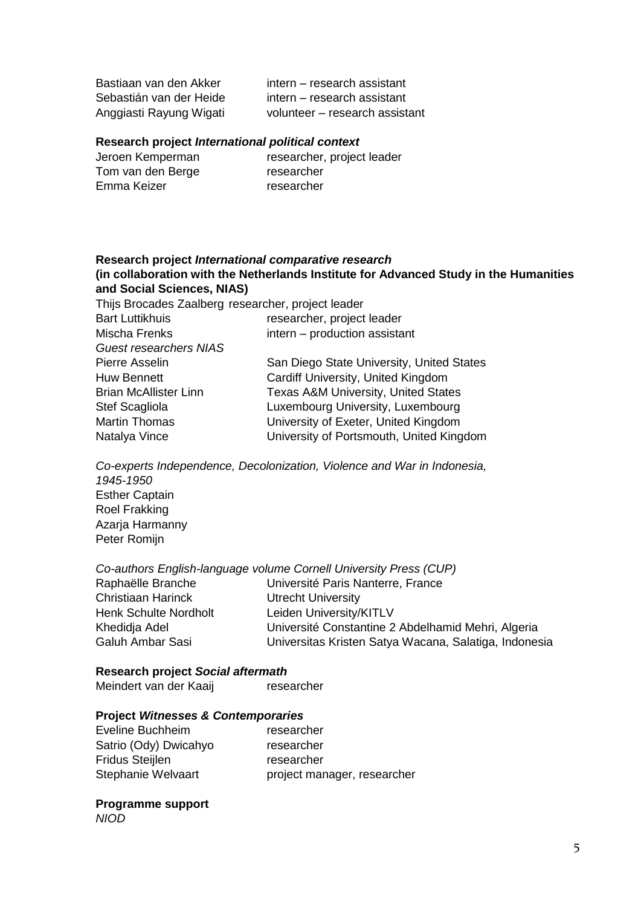Bastiaan van den Akker intern – research assistant Sebastián van der Heide intern – research assistant Anggiasti Rayung Wigati volunteer – research assistant

#### **Research project** *International political context*

| researcher, project leader |
|----------------------------|
| researcher                 |
| researcher                 |
|                            |

#### **Research project** *International comparative research* **(in collaboration with the Netherlands Institute for Advanced Study in the Humanities and Social Sciences, NIAS)**

Thijs Brocades Zaalberg researcher, project leader

| <b>Bart Luttikhuis</b>        | researcher, project leader                     |
|-------------------------------|------------------------------------------------|
| Mischa Frenks                 | intern - production assistant                  |
| <b>Guest researchers NIAS</b> |                                                |
| Pierre Asselin                | San Diego State University, United States      |
| Huw Bennett                   | Cardiff University, United Kingdom             |
| <b>Brian McAllister Linn</b>  | <b>Texas A&amp;M University, United States</b> |
| <b>Stef Scagliola</b>         | Luxembourg University, Luxembourg              |
| <b>Martin Thomas</b>          | University of Exeter, United Kingdom           |
| Natalya Vince                 | University of Portsmouth, United Kingdom       |
|                               |                                                |

*Co-experts Independence, Decolonization, Violence and War in Indonesia, 1945-1950* Esther Captain Roel Frakking Azarja Harmanny Peter Romijn

#### *Co-authors English-language volume Cornell University Press (CUP)*

| Raphaëlle Branche            | Université Paris Nanterre, France                     |
|------------------------------|-------------------------------------------------------|
| Christiaan Harinck           | <b>Utrecht University</b>                             |
| <b>Henk Schulte Nordholt</b> | Leiden University/KITLV                               |
| Khedidja Adel                | Université Constantine 2 Abdelhamid Mehri, Algeria    |
| Galuh Ambar Sasi             | Universitas Kristen Satya Wacana, Salatiga, Indonesia |
|                              |                                                       |

#### **Research project** *Social aftermath*

Meindert van der Kaaij researcher

#### **Project** *Witnesses & Contemporaries*

| Eveline Buchheim       | researcher                  |
|------------------------|-----------------------------|
| Satrio (Ody) Dwicahyo  | researcher                  |
| <b>Fridus Steijlen</b> | researcher                  |
| Stephanie Welvaart     | project manager, researcher |

### **Programme support**

*NIOD*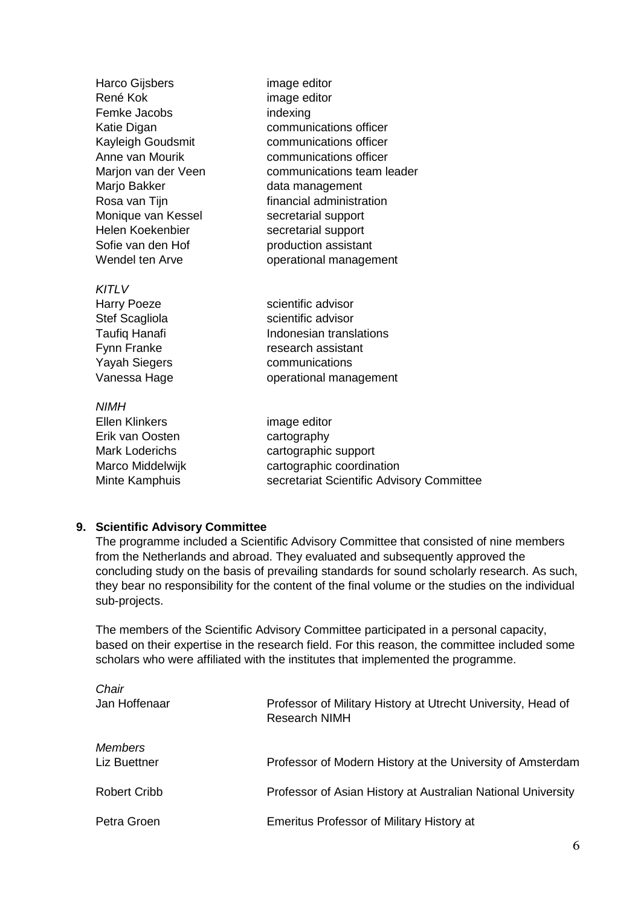| Harco Gijsbers<br>René Kok<br>Femke Jacobs<br>Katie Digan<br>Kayleigh Goudsmit<br>Anne van Mourik<br>Marjon van der Veen<br>Marjo Bakker<br>Rosa van Tijn<br>Monique van Kessel<br>Helen Koekenbier<br>Sofie van den Hof | image editor<br>image editor<br>indexing<br>communications officer<br>communications officer<br>communications officer<br>communications team leader<br>data management<br>financial administration<br>secretarial support<br>secretarial support<br>production assistant |
|--------------------------------------------------------------------------------------------------------------------------------------------------------------------------------------------------------------------------|---------------------------------------------------------------------------------------------------------------------------------------------------------------------------------------------------------------------------------------------------------------------------|
| Wendel ten Arve                                                                                                                                                                                                          | operational management                                                                                                                                                                                                                                                    |
| KITLV<br><b>Harry Poeze</b><br>Stef Scagliola<br><b>Taufiq Hanafi</b><br>Fynn Franke<br><b>Yayah Siegers</b><br>Vanessa Hage                                                                                             | scientific advisor<br>scientific advisor<br>Indonesian translations<br>research assistant<br>communications<br>operational management                                                                                                                                     |
| <b>NIMH</b><br><b>Ellen Klinkers</b><br>Erik van Oosten<br><b>Mark Loderichs</b><br>Marco Middelwijk<br>Minte Kamphuis                                                                                                   | image editor<br>cartography<br>cartographic support<br>cartographic coordination<br>secretariat Scientific Advisory Committee                                                                                                                                             |

## **9. Scientific Advisory Committee**

The programme included a Scientific Advisory Committee that consisted of nine members from the Netherlands and abroad. They evaluated and subsequently approved the concluding study on the basis of prevailing standards for sound scholarly research. As such, they bear no responsibility for the content of the final volume or the studies on the individual sub-projects.

The members of the Scientific Advisory Committee participated in a personal capacity, based on their expertise in the research field. For this reason, the committee included some scholars who were affiliated with the institutes that implemented the programme.

| Chair                          |                                                                                      |
|--------------------------------|--------------------------------------------------------------------------------------|
| Jan Hoffenaar                  | Professor of Military History at Utrecht University, Head of<br><b>Research NIMH</b> |
| <b>Members</b><br>Liz Buettner | Professor of Modern History at the University of Amsterdam                           |
| <b>Robert Cribb</b>            | Professor of Asian History at Australian National University                         |
| Petra Groen                    | <b>Emeritus Professor of Military History at</b>                                     |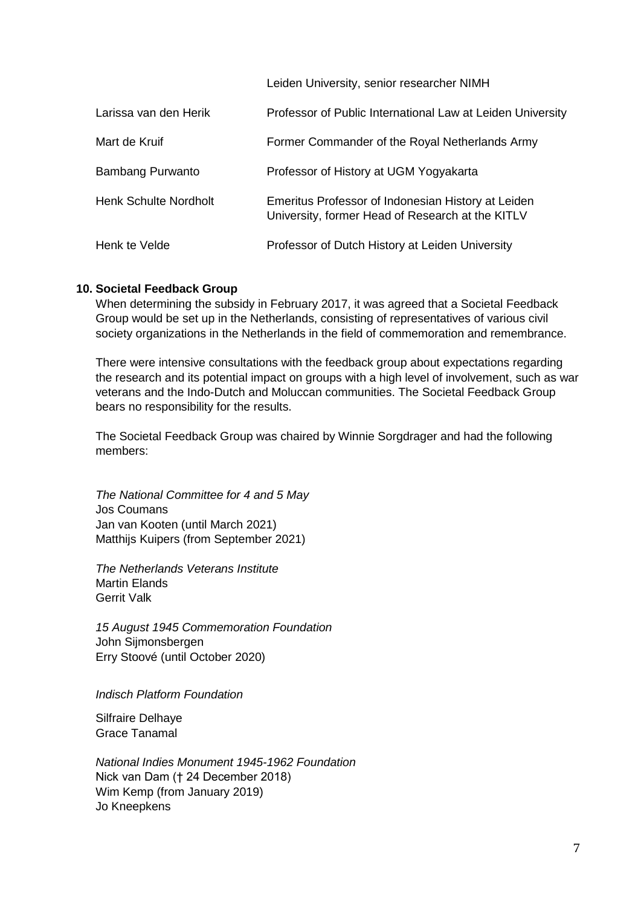Leiden University, senior researcher NIMH

| Larissa van den Herik        | Professor of Public International Law at Leiden University                                             |
|------------------------------|--------------------------------------------------------------------------------------------------------|
| Mart de Kruif                | Former Commander of the Royal Netherlands Army                                                         |
| <b>Bambang Purwanto</b>      | Professor of History at UGM Yogyakarta                                                                 |
| <b>Henk Schulte Nordholt</b> | Emeritus Professor of Indonesian History at Leiden<br>University, former Head of Research at the KITLV |
| Henk te Velde                | Professor of Dutch History at Leiden University                                                        |

### **10. Societal Feedback Group**

When determining the subsidy in February 2017, it was agreed that a Societal Feedback Group would be set up in the Netherlands, consisting of representatives of various civil society organizations in the Netherlands in the field of commemoration and remembrance.

There were intensive consultations with the feedback group about expectations regarding the research and its potential impact on groups with a high level of involvement, such as war veterans and the Indo-Dutch and Moluccan communities. The Societal Feedback Group bears no responsibility for the results.

The Societal Feedback Group was chaired by Winnie Sorgdrager and had the following members:

*The National Committee for 4 and 5 May* Jos Coumans Jan van Kooten (until March 2021) Matthijs Kuipers (from September 2021)

*The Netherlands Veterans Institute* Martin Elands Gerrit Valk

*15 August 1945 Commemoration Foundation* John Sijmonsbergen Erry Stoové (until October 2020)

*Indisch Platform Foundation*

Silfraire Delhaye Grace Tanamal

*National Indies Monument 1945-1962 Foundation* Nick van Dam († 24 December 2018) Wim Kemp (from January 2019) Jo Kneepkens